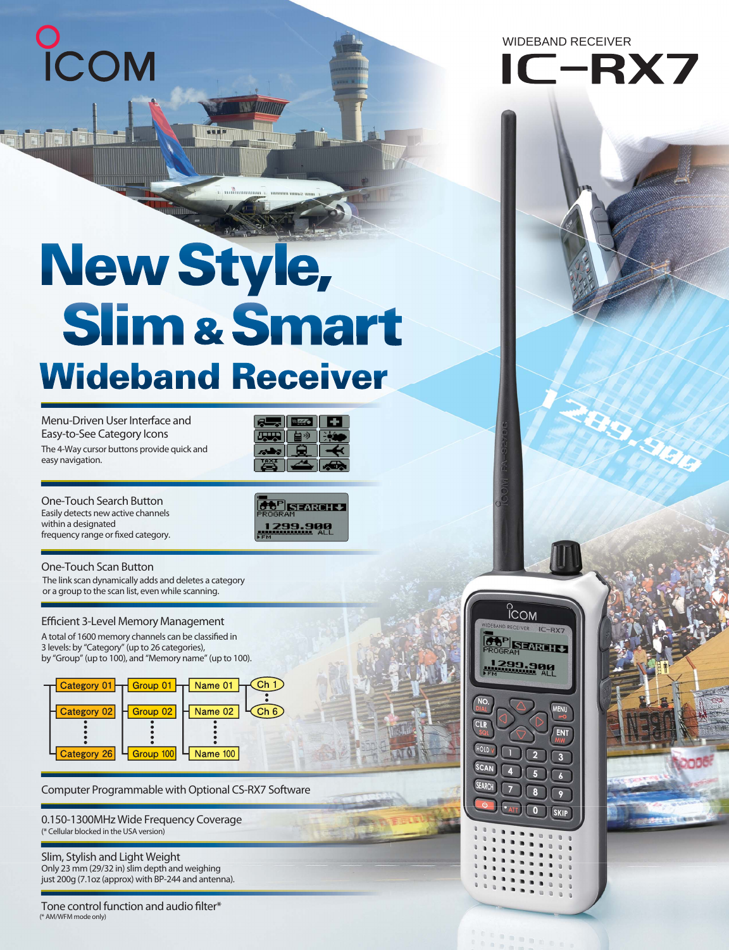COM

tegi jia ilin ili

WIDEBAND RECEIVER



# New Style, **Slim & Smart Wideband Receiver**

**Menu-Driven User Interface and Easy-to-See Category Icons** The 4-Way cursor buttons provide quick and easy navigation.



**One-Touch Search Button** Easily detects new active channels within a designated frequency range or fixed category.



**One-Touch Scan Button** The link scan dynamically adds and deletes a category or a group to the scan list, even while scanning.

## **Efficient 3-Level Memory Management**

A total of 1600 memory channels can be classified in 3 levels: by "Category" (up to 26 categories), by "Group" (up to 100), and "Memory name" (up to 100).



**Computer Programmable with Optional CS-RX7 Software**

**0.150-1300MHz Wide Frequency Coverage** (\* Cellular blocked in the USA version)

Only 23 mm (29/32 in) slim depth and weighing just 200g (7.1oz (approx) with BP-244 and antenna). **Slim, Stylish and Light Weight**

**Tone control function and audio filter\*** (\* AM/WFM mode only)



n e s